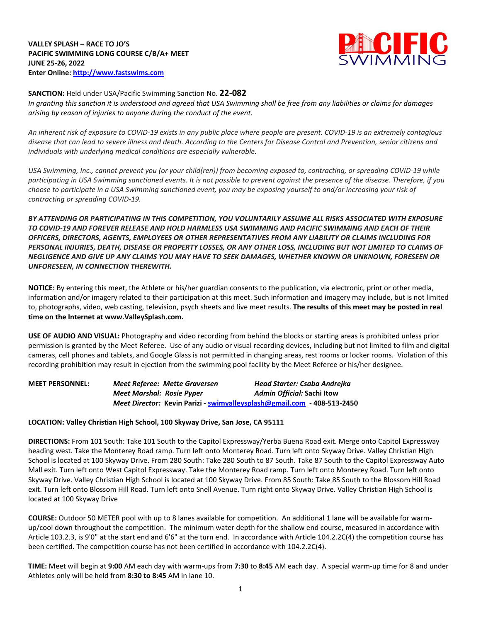**VALLEY SPLASH – RACE TO JO'S PACIFIC SWIMMING LONG COURSE C/B/A+ MEET JUNE 25-26, 2022 Enter Online: [http://www.fastswims.com](http://www.fastswims.com/)**



#### **SANCTION:** Held under USA/Pacific Swimming Sanction No. **22-082**

In granting this sanction it is understood and agreed that USA Swimming shall be free from any liabilities or claims for damages *arising by reason of injuries to anyone during the conduct of the event.* 

An inherent risk of exposure to COVID-19 exists in any public place where people are present. COVID-19 is an extremely contagious disease that can lead to severe illness and death. According to the Centers for Disease Control and Prevention, senior citizens and *individuals with underlying medical conditions are especially vulnerable.*

USA Swimming, Inc., cannot prevent you (or your child(ren)) from becoming exposed to, contracting, or spreading COVID-19 while participating in USA Swimming sanctioned events. It is not possible to prevent against the presence of the disease. Therefore, if you choose to participate in a USA Swimming sanctioned event, you may be exposing yourself to and/or increasing your risk of *contracting or spreading COVID-19.*

*BY ATTENDING OR PARTICIPATING IN THIS COMPETITION, YOU VOLUNTARILY ASSUME ALL RISKS ASSOCIATED WITH EXPOSURE TO COVID-19 AND FOREVER RELEASE AND HOLD HARMLESS USA SWIMMING AND PACIFIC SWIMMING AND EACH OF THEIR OFFICERS, DIRECTORS, AGENTS, EMPLOYEES OR OTHER REPRESENTATIVES FROM ANY LIABILITY OR CLAIMS INCLUDING FOR* PERSONAL INJURIES, DEATH, DISEASE OR PROPERTY LOSSES, OR ANY OTHER LOSS, INCLUDING BUT NOT LIMITED TO CLAIMS OF NEGLIGENCE AND GIVE UP ANY CLAIMS YOU MAY HAVE TO SEEK DAMAGES, WHETHER KNOWN OR UNKNOWN, FORESEEN OR *UNFORESEEN, IN CONNECTION THEREWITH.*

**NOTICE:** By entering this meet, the Athlete or his/her guardian consents to the publication, via electronic, print or other media, information and/or imagery related to their participation at this meet. Such information and imagery may include, but is not limited to, photographs, video, web casting, television, psych sheets and live meet results. **The results of this meet may be posted in real time on the Internet at www.ValleySplash.com.**

**USE OF AUDIO AND VISUAL:** Photography and video recording from behind the blocks or starting areas is prohibited unless prior permission is granted by the Meet Referee. Use of any audio or visual recording devices, including but not limited to film and digital cameras, cell phones and tablets, and Google Glass is not permitted in changing areas, rest rooms or locker rooms. Violation of this recording prohibition may result in ejection from the swimming pool facility by the Meet Referee or his/her designee.

**MEET PERSONNEL:** *Meet Referee: Mette Graversen Head Starter: Csaba Andrejka Meet Marshal: Rosie Pyper Admin Official:* **Sachi Itow** *Meet Director:* **Kevin Parizi - [swimvalleysplash@gmail.com](mailto:swimvalleysplash@gmail.com) - 408-513-2450**

### **LOCATION: Valley Christian High School, 100 Skyway Drive, San Jose, CA 95111**

**DIRECTIONS:** From 101 South: Take 101 South to the Capitol Expressway/Yerba Buena Road exit. Merge onto Capitol Expressway heading west. Take the Monterey Road ramp. Turn left onto Monterey Road. Turn left onto Skyway Drive. Valley Christian High School is located at 100 Skyway Drive. From 280 South: Take 280 South to 87 South. Take 87 South to the Capitol Expressway Auto Mall exit. Turn left onto West Capitol Expressway. Take the Monterey Road ramp. Turn left onto Monterey Road. Turn left onto Skyway Drive. Valley Christian High School is located at 100 Skyway Drive. From 85 South: Take 85 South to the Blossom Hill Road exit. Turn left onto Blossom Hill Road. Turn left onto Snell Avenue. Turn right onto Skyway Drive. Valley Christian High School is located at 100 Skyway Drive

**COURSE:** Outdoor 50 METER pool with up to 8 lanes available for competition. An additional 1 lane will be available for warmup/cool down throughout the competition. The minimum water depth for the shallow end course, measured in accordance with Article 103.2.3, is 9'0" at the start end and 6'6" at the turn end. In accordance with Article 104.2.2C(4) the competition course has been certified. The competition course has not been certified in accordance with 104.2.2C(4).

**TIME:** Meet will begin at **9:00** AM each day with warm-ups from **7:30** to **8:45** AM each day. A special warm-up time for 8 and under Athletes only will be held from **8:30 to 8:45** AM in lane 10.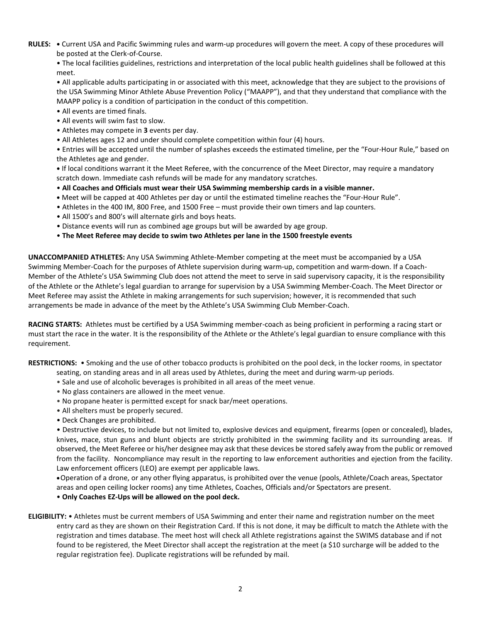**RULES: •** Current USA and Pacific Swimming rules and warm-up procedures will govern the meet. A copy of these procedures will be posted at the Clerk-of-Course.

• The local facilities guidelines, restrictions and interpretation of the local public health guidelines shall be followed at this meet.

• All applicable adults participating in or associated with this meet, acknowledge that they are subject to the provisions of the USA Swimming Minor Athlete Abuse Prevention Policy ("MAAPP"), and that they understand that compliance with the MAAPP policy is a condition of participation in the conduct of this competition.

- All events are timed finals.
- All events will swim fast to slow.
- Athletes may compete in **3** events per day.
- All Athletes ages 12 and under should complete competition within four (4) hours.

• Entries will be accepted until the number of splashes exceeds the estimated timeline, per the "Four-Hour Rule," based on the Athletes age and gender.

**•** If local conditions warrant it the Meet Referee, with the concurrence of the Meet Director, may require a mandatory scratch down. Immediate cash refunds will be made for any mandatory scratches.

- **All Coaches and Officials must wear their USA Swimming membership cards in a visible manner.**
- **•** Meet will be capped at 400 Athletes per day or until the estimated timeline reaches the "Four-Hour Rule".
- Athletes in the 400 IM, 800 Free, and 1500 Free must provide their own timers and lap counters.
- All 1500's and 800's will alternate girls and boys heats.
- Distance events will run as combined age groups but will be awarded by age group.
- **The Meet Referee may decide to swim two Athletes per lane in the 1500 freestyle events**

**UNACCOMPANIED ATHLETES:** Any USA Swimming Athlete-Member competing at the meet must be accompanied by a USA Swimming Member-Coach for the purposes of Athlete supervision during warm-up, competition and warm-down. If a Coach-Member of the Athlete's USA Swimming Club does not attend the meet to serve in said supervisory capacity, it is the responsibility of the Athlete or the Athlete's legal guardian to arrange for supervision by a USA Swimming Member-Coach. The Meet Director or Meet Referee may assist the Athlete in making arrangements for such supervision; however, it is recommended that such arrangements be made in advance of the meet by the Athlete's USA Swimming Club Member-Coach.

**RACING STARTS:** Athletes must be certified by a USA Swimming member-coach as being proficient in performing a racing start or must start the race in the water. It is the responsibility of the Athlete or the Athlete's legal guardian to ensure compliance with this requirement.

**RESTRICTIONS:** • Smoking and the use of other tobacco products is prohibited on the pool deck, in the locker rooms, in spectator

- seating, on standing areas and in all areas used by Athletes, during the meet and during warm-up periods.
- Sale and use of alcoholic beverages is prohibited in all areas of the meet venue.
- No glass containers are allowed in the meet venue.
- No propane heater is permitted except for snack bar/meet operations.
- All shelters must be properly secured.
- Deck Changes are prohibited.

• Destructive devices, to include but not limited to, explosive devices and equipment, firearms (open or concealed), blades, knives, mace, stun guns and blunt objects are strictly prohibited in the swimming facility and its surrounding areas. If observed, the Meet Referee or his/her designee may ask that these devices be stored safely away from the public or removed from the facility. Noncompliance may result in the reporting to law enforcement authorities and ejection from the facility. Law enforcement officers (LEO) are exempt per applicable laws.

Operation of a drone, or any other flying apparatus, is prohibited over the venue (pools, Athlete/Coach areas, Spectator areas and open ceiling locker rooms) any time Athletes, Coaches, Officials and/or Spectators are present.

# • **Only Coaches EZ-Ups will be allowed on the pool deck.**

**ELIGIBILITY:** • Athletes must be current members of USA Swimming and enter their name and registration number on the meet entry card as they are shown on their Registration Card. If this is not done, it may be difficult to match the Athlete with the registration and times database. The meet host will check all Athlete registrations against the SWIMS database and if not found to be registered, the Meet Director shall accept the registration at the meet (a \$10 surcharge will be added to the regular registration fee). Duplicate registrations will be refunded by mail.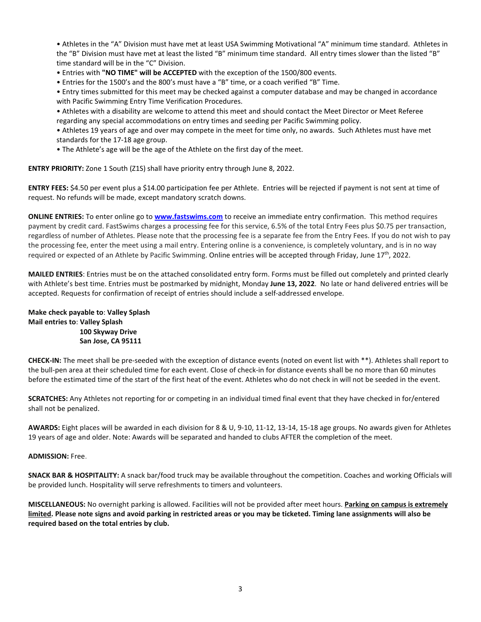• Athletes in the "A" Division must have met at least USA Swimming Motivational "A" minimum time standard. Athletes in the "B" Division must have met at least the listed "B" minimum time standard. All entry times slower than the listed "B" time standard will be in the "C" Division.

- Entries with **"NO TIME" will be ACCEPTED** with the exception of the 1500/800 events.
- Entries for the 1500's and the 800's must have a "B" time, or a coach verified "B" Time.

• Entry times submitted for this meet may be checked against a computer database and may be changed in accordance with Pacific Swimming Entry Time Verification Procedures.

- Athletes with a disability are welcome to attend this meet and should contact the Meet Director or Meet Referee regarding any special accommodations on entry times and seeding per Pacific Swimming policy.
- Athletes 19 years of age and over may compete in the meet for time only, no awards. Such Athletes must have met standards for the 17-18 age group.
- The Athlete's age will be the age of the Athlete on the first day of the meet.

**ENTRY PRIORITY:** Zone 1 South (Z1S) shall have priority entry through June 8, 2022.

**ENTRY FEES:** \$4.50 per event plus a \$14.00 participation fee per Athlete. Entries will be rejected if payment is not sent at time of request. No refunds will be made, except mandatory scratch downs.

**ONLINE ENTRIES:** To enter online go to **[www.fastswims.com](http://www.fastswims.com/)** to receive an immediate entry confirmation. This method requires payment by credit card. FastSwims charges a processing fee for this service, 6.5% of the total Entry Fees plus \$0.75 per transaction, regardless of number of Athletes. Please note that the processing fee is a separate fee from the Entry Fees. If you do not wish to pay the processing fee, enter the meet using a mail entry. Entering online is a convenience, is completely voluntary, and is in no way required or expected of an Athlete by Pacific Swimming. Online entries will be accepted through Friday, June 17<sup>th</sup>, 2022.

**MAILED ENTRIES**: Entries must be on the attached consolidated entry form. Forms must be filled out completely and printed clearly with Athlete's best time. Entries must be postmarked by midnight, Monday **June 13, 2022**. No late or hand delivered entries will be accepted. Requests for confirmation of receipt of entries should include a self-addressed envelope.

### **Make check payable to**: **Valley Splash Mail entries to**: **Valley Splash 100 Skyway Drive San Jose, CA 95111**

**CHECK-IN:** The meet shall be pre-seeded with the exception of distance events (noted on event list with \*\*). Athletes shall report to the bull-pen area at their scheduled time for each event. Close of check-in for distance events shall be no more than 60 minutes before the estimated time of the start of the first heat of the event. Athletes who do not check in will not be seeded in the event.

**SCRATCHES:** Any Athletes not reporting for or competing in an individual timed final event that they have checked in for/entered shall not be penalized.

**AWARDS:** Eight places will be awarded in each division for 8 & U, 9-10, 11-12, 13-14, 15-18 age groups. No awards given for Athletes 19 years of age and older. Note: Awards will be separated and handed to clubs AFTER the completion of the meet.

#### **ADMISSION:** Free.

**SNACK BAR & HOSPITALITY:** A snack bar/food truck may be available throughout the competition. Coaches and working Officials will be provided lunch. Hospitality will serve refreshments to timers and volunteers.

**MISCELLANEOUS:** No overnight parking is allowed. Facilities will not be provided after meet hours. **Parking on campus is extremely** limited. Please note signs and avoid parking in restricted areas or you may be ticketed. Timing lane assignments will also be **required based on the total entries by club.**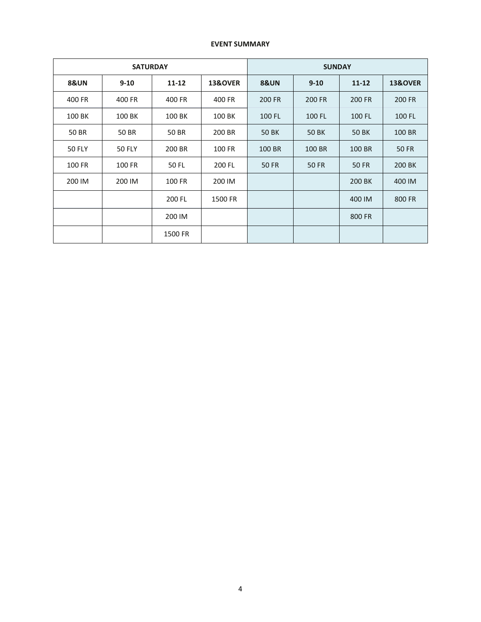# **EVENT SUMMARY**

|                 | <b>SATURDAY</b> |           | <b>SUNDAY</b>      |                 |          |           |                    |  |
|-----------------|-----------------|-----------|--------------------|-----------------|----------|-----------|--------------------|--|
| <b>8&amp;UN</b> | $9 - 10$        | $11 - 12$ | <b>13&amp;OVER</b> | <b>8&amp;UN</b> | $9 - 10$ | $11 - 12$ | <b>13&amp;OVER</b> |  |
| 400 FR          | 400 FR          | 400 FR    | 400 FR             | 200 FR          | 200 FR   | 200 FR    | 200 FR             |  |
| 100 BK          | 100 BK          | 100 BK    | 100 BK             | 100 FL          | 100 FL   | 100 FL    | 100 FL             |  |
| 50 BR           | 50 BR           | 50 BR     | 200 BR             | <b>50 BK</b>    | 50 BK    | 50 BK     | 100 BR             |  |
| <b>50 FLY</b>   | <b>50 FLY</b>   | 200 BR    | 100 FR             | 100 BR          | 100 BR   | 100 BR    | 50 FR              |  |
| 100 FR          | 100 FR          | 50 FL     | 200 FL             | <b>50 FR</b>    | 50 FR    | 50 FR     | 200 BK             |  |
| 200 IM          | 200 IM          | 100 FR    | 200 IM             |                 |          | 200 BK    | 400 IM             |  |
|                 |                 | 200 FL    | 1500 FR            |                 |          | 400 IM    | 800 FR             |  |
|                 |                 | 200 IM    |                    |                 |          | 800 FR    |                    |  |
|                 |                 | 1500 FR   |                    |                 |          |           |                    |  |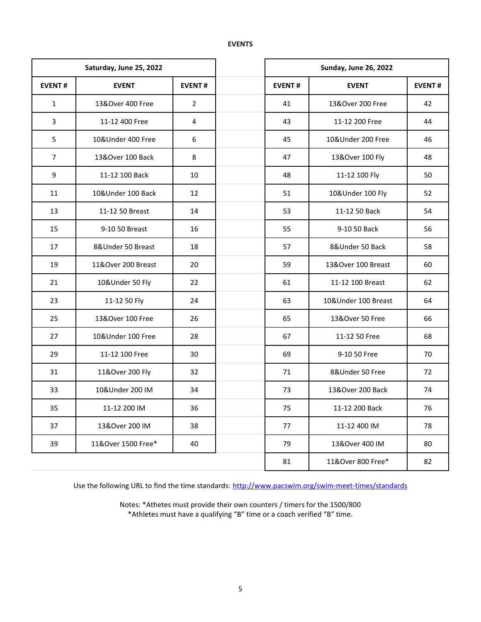# **EVENTS**

|                  | Saturday, June 25, 2022       |                  | <b>Sunday, June 26, 2022</b> |                     |               |  |  |
|------------------|-------------------------------|------------------|------------------------------|---------------------|---------------|--|--|
| <b>EVENT#</b>    | <b>EVENT</b><br><b>EVENT#</b> |                  | <b>EVENT#</b>                | <b>EVENT</b>        | <b>EVENT#</b> |  |  |
| $\mathbf{1}$     | 13&Over 400 Free              | $\overline{2}$   | 41                           | 13&Over 200 Free    | 42            |  |  |
| $\overline{3}$   | 11-12 400 Free                | $\overline{4}$   | 43                           | 11-12 200 Free      | 44            |  |  |
| 5                | 10&Under 400 Free             | $\boldsymbol{6}$ | 45                           | 10&Under 200 Free   | 46            |  |  |
| $\overline{7}$   | 13&Over 100 Back              | 8                | 47                           | 13&Over 100 Fly     | 48            |  |  |
| $\boldsymbol{9}$ | 11-12 100 Back                | 10               | 48                           | 11-12 100 Fly       | 50            |  |  |
| 11               | 10&Under 100 Back             | 12               | 51                           | 10&Under 100 Fly    | 52            |  |  |
| 13               | 11-12 50 Breast               | 14               | 53                           | 11-12 50 Back       | 54            |  |  |
| 15               | 9-10 50 Breast                | 16               | 55                           | 9-10 50 Back        | 56            |  |  |
| 17               | 8&Under 50 Breast             | 18               | 57                           | 8&Under 50 Back     | 58            |  |  |
| 19               | 11&Over 200 Breast            | 20               | 59                           | 13&Over 100 Breast  | 60            |  |  |
| 21               | 10&Under 50 Fly               | 22               | 61                           | 11-12 100 Breast    | 62            |  |  |
| 23               | 11-12 50 Fly                  | 24               | 63                           | 10&Under 100 Breast | 64            |  |  |
| 25               | 13&Over 100 Free              | 26               | 65                           | 13&Over 50 Free     | 66            |  |  |
| 27               | 10&Under 100 Free             | 28               | 67                           | 11-12 50 Free       | 68            |  |  |
| 29               | 11-12 100 Free                | 30               | 69                           | 9-10 50 Free        | 70            |  |  |
| 31               | 11&Over 200 Fly               | 32               | 71                           | 8&Under 50 Free     | 72            |  |  |
| 33               | 10&Under 200 IM               | 34               | 73                           | 13&Over 200 Back    | 74            |  |  |
| 35               | 11-12 200 IM                  | 36               | 75                           | 11-12 200 Back      | 76            |  |  |
| 37               | 13&Over 200 IM                | 38               | 77                           | 11-12 400 IM        | 78            |  |  |
| 39               | 11&Over 1500 Free*<br>40      |                  | 79                           | 13&Over 400 IM      | 80            |  |  |
|                  |                               |                  | 81                           | 11&Over 800 Free*   | 82            |  |  |

Use the following URL to find the time standards: <http://www.pacswim.org/swim-meet-times/standards>

Notes: \*Athetes must provide their own counters / timers for the 1500/800 \*Athletes must have a qualifying "B" time or a coach verified "B" time.